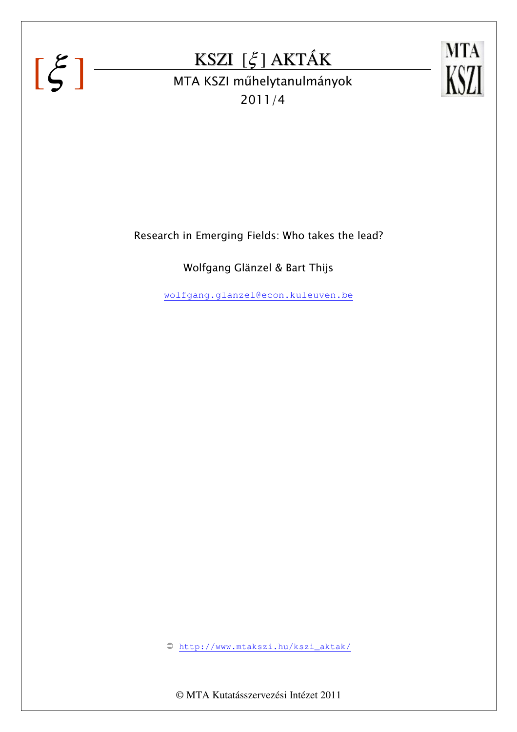# KSZI [ξ ] AKTÁK

 $\left[\xi\right]$   $\frac{\text{KSZI} \left[\xi\right] \text{AKTÅK}}{\text{MTA KSZI műhelytanulmányok}}$ 2011/4



Research in Emerging Fields: Who takes the lead?

Wolfgang Glänzel & Bart Thijs

wolfgang.glanzel@econ.kuleuven.be

http://www.mtakszi.hu/kszi\_aktak/

© MTA Kutatásszervezési Intézet 2011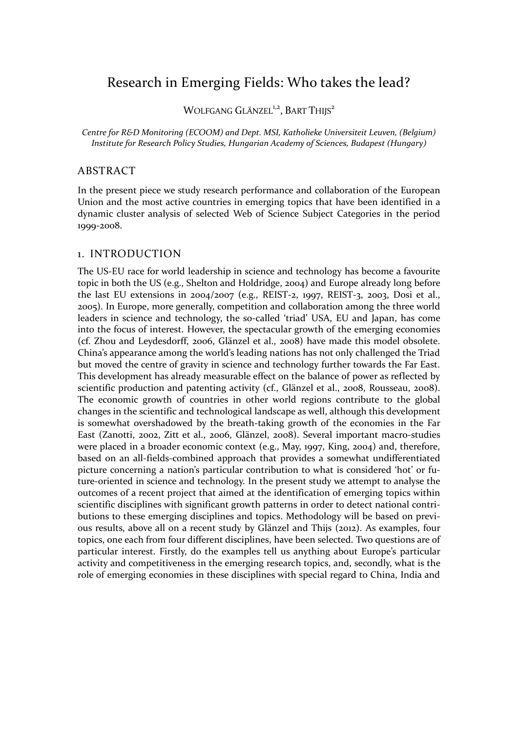## Research in Emerging Fields: Who takes the lead?

WOLFGANG GLÄNZEL<sup>1,2</sup>, BART THIJS<sup>2</sup>

*Centre for R&D Monitoring (ECOOM) and Dept. MSI, Katholieke Universiteit Leuven, (Belgium) Institute for Research Policy Studies, Hungarian Academy of Sciences, Budapest (Hungary)*

#### ABSTRACT

In the present piece we study research performance and collaboration of the European Union and the most active countries in emerging topics that have been identified in a dynamic cluster analysis of selected Web of Science Subject Categories in the period 1999-2008.

#### 1. INTRODUCTION

The US-EU race for world leadership in science and technology has become a favourite topic in both the US (e.g., Shelton and Holdridge, 2004) and Europe already long before the last EU extensions in 2004/2007 (e.g., REIST-2, 1997, REIST-3, 2003, Dosi et al., 2005). In Europe, more generally, competition and collaboration among the three world leaders in science and technology, the so-called 'triad' USA, EU and Japan, has come into the focus of interest. However, the spectacular growth of the emerging economies (cf. Zhou and Leydesdorff, 2006, Glänzel et al., 2008) have made this model obsolete. China's appearance among the world's leading nations has not only challenged the Triad but moved the centre of gravity in science and technology further towards the Far East. This development has already measurable effect on the balance of power as reflected by scientific production and patenting activity (cf., Glänzel et al., 2008, Rousseau, 2008). The economic growth of countries in other world regions contribute to the global changes in the scientific and technological landscape as well, although this development is somewhat overshadowed by the breath-taking growth of the economies in the Far East (Zanotti, 2002, Zitt et al., 2006, Glänzel, 2008). Several important macro-studies were placed in a broader economic context (e.g., May, 1997, King, 2004) and, therefore, based on an all-fields-combined approach that provides a somewhat undifferentiated picture concerning a nation's particular contribution to what is considered 'hot' or future-oriented in science and technology. In the present study we attempt to analyse the outcomes of a recent project that aimed at the identification of emerging topics within scientific disciplines with significant growth patterns in order to detect national contributions to these emerging disciplines and topics. Methodology will be based on previous results, above all on a recent study by Glänzel and Thijs (2012). As examples, four topics, one each from four different disciplines, have been selected. Two questions are of particular interest. Firstly, do the examples tell us anything about Europe's particular activity and competitiveness in the emerging research topics, and, secondly, what is the role of emerging economies in these disciplines with special regard to China, India and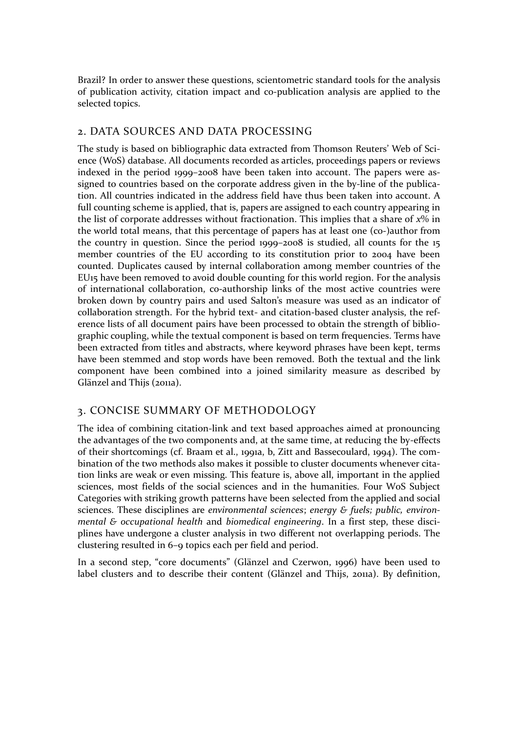Brazil? In order to answer these questions, scientometric standard tools for the analysis of publication activity, citation impact and co-publication analysis are applied to the selected topics.

#### 2. DATA SOURCES AND DATA PROCESSING

The study is based on bibliographic data extracted from Thomson Reuters' Web of Science (WoS) database. All documents recorded as articles, proceedings papers or reviews indexed in the period 1999–2008 have been taken into account. The papers were assigned to countries based on the corporate address given in the by-line of the publication. All countries indicated in the address field have thus been taken into account. A full counting scheme is applied, that is, papers are assigned to each country appearing in the list of corporate addresses without fractionation. This implies that a share of *x*% in the world total means, that this percentage of papers has at least one (co-)author from the country in question. Since the period 1999–2008 is studied, all counts for the 15 member countries of the EU according to its constitution prior to 2004 have been counted. Duplicates caused by internal collaboration among member countries of the EU15 have been removed to avoid double counting for this world region. For the analysis of international collaboration, co-authorship links of the most active countries were broken down by country pairs and used Salton's measure was used as an indicator of collaboration strength. For the hybrid text- and citation-based cluster analysis, the reference lists of all document pairs have been processed to obtain the strength of bibliographic coupling, while the textual component is based on term frequencies. Terms have been extracted from titles and abstracts, where keyword phrases have been kept, terms have been stemmed and stop words have been removed. Both the textual and the link component have been combined into a joined similarity measure as described by Glänzel and Thijs (2011a).

### 3. CONCISE SUMMARY OF METHODOLOGY

The idea of combining citation-link and text based approaches aimed at pronouncing the advantages of the two components and, at the same time, at reducing the by-effects of their shortcomings (cf. Braam et al., 1991a, b, Zitt and Bassecoulard, 1994). The combination of the two methods also makes it possible to cluster documents whenever citation links are weak or even missing. This feature is, above all, important in the applied sciences, most fields of the social sciences and in the humanities. Four WoS Subject Categories with striking growth patterns have been selected from the applied and social sciences. These disciplines are *environmental sciences*; *energy & fuels; public, environmental & occupational health* and *biomedical engineering*. In a first step, these disciplines have undergone a cluster analysis in two different not overlapping periods. The clustering resulted in 6–9 topics each per field and period.

In a second step, "core documents" (Glänzel and Czerwon, 1996) have been used to label clusters and to describe their content (Glänzel and Thijs, 2011a). By definition,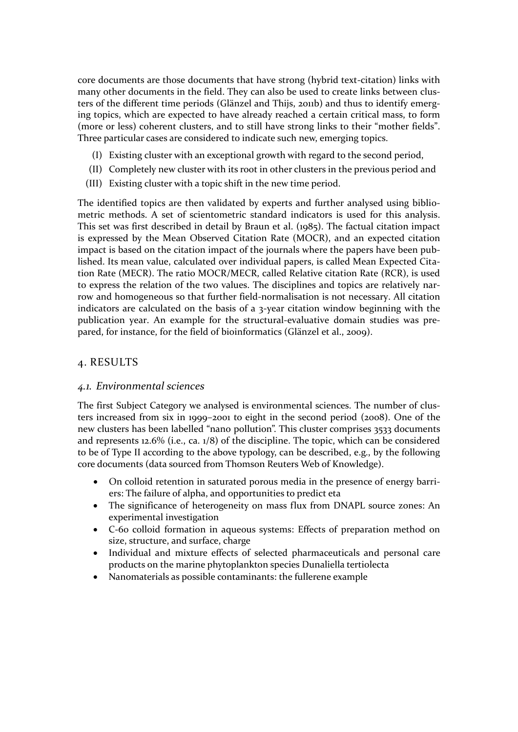core documents are those documents that have strong (hybrid text-citation) links with many other documents in the field. They can also be used to create links between clusters of the different time periods (Glänzel and Thijs, 2011b) and thus to identify emerging topics, which are expected to have already reached a certain critical mass, to form (more or less) coherent clusters, and to still have strong links to their "mother fields". Three particular cases are considered to indicate such new, emerging topics.

- (I) Existing cluster with an exceptional growth with regard to the second period,
- (II) Completely new cluster with its root in other clusters in the previous period and
- (III) Existing cluster with a topic shift in the new time period.

The identified topics are then validated by experts and further analysed using bibliometric methods. A set of scientometric standard indicators is used for this analysis. This set was first described in detail by Braun et al. (1985). The factual citation impact is expressed by the Mean Observed Citation Rate (MOCR), and an expected citation impact is based on the citation impact of the journals where the papers have been published. Its mean value, calculated over individual papers, is called Mean Expected Citation Rate (MECR). The ratio MOCR/MECR, called Relative citation Rate (RCR), is used to express the relation of the two values. The disciplines and topics are relatively narrow and homogeneous so that further field-normalisation is not necessary. All citation indicators are calculated on the basis of a 3-year citation window beginning with the publication year. An example for the structural-evaluative domain studies was prepared, for instance, for the field of bioinformatics (Glänzel et al., 2009).

### 4. RESULTS

#### *4.1. Environmental sciences*

The first Subject Category we analysed is environmental sciences. The number of clusters increased from six in 1999–2001 to eight in the second period (2008). One of the new clusters has been labelled "nano pollution". This cluster comprises 3533 documents and represents 12.6% (i.e., ca. 1/8) of the discipline. The topic, which can be considered to be of Type II according to the above typology, can be described, e.g., by the following core documents (data sourced from Thomson Reuters Web of Knowledge).

- On colloid retention in saturated porous media in the presence of energy barriers: The failure of alpha, and opportunities to predict eta
- The significance of heterogeneity on mass flux from DNAPL source zones: An experimental investigation
- C-60 colloid formation in aqueous systems: Effects of preparation method on size, structure, and surface, charge
- Individual and mixture effects of selected pharmaceuticals and personal care products on the marine phytoplankton species Dunaliella tertiolecta
- Nanomaterials as possible contaminants: the fullerene example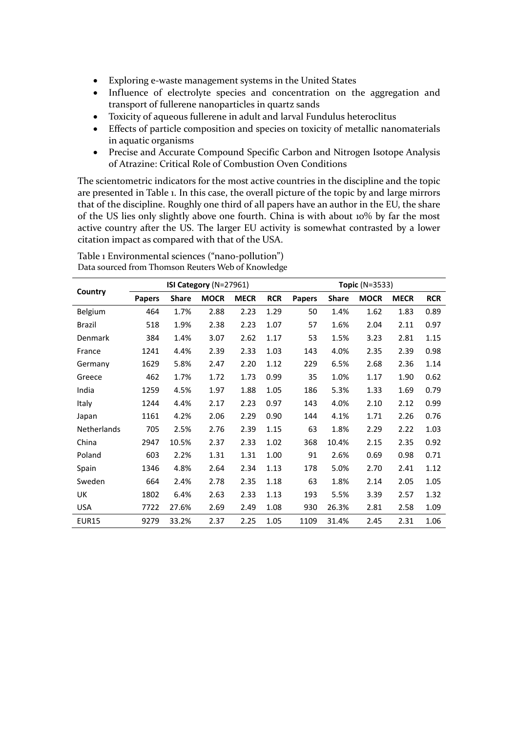- Exploring e-waste management systems in the United States
- Influence of electrolyte species and concentration on the aggregation and transport of fullerene nanoparticles in quartz sands
- Toxicity of aqueous fullerene in adult and larval Fundulus heteroclitus
- Effects of particle composition and species on toxicity of metallic nanomaterials in aquatic organisms
- Precise and Accurate Compound Specific Carbon and Nitrogen Isotope Analysis of Atrazine: Critical Role of Combustion Oven Conditions

The scientometric indicators for the most active countries in the discipline and the topic are presented in Table 1. In this case, the overall picture of the topic by and large mirrors that of the discipline. Roughly one third of all papers have an author in the EU, the share of the US lies only slightly above one fourth. China is with about 10% by far the most active country after the US. The larger EU activity is somewhat contrasted by a lower citation impact as compared with that of the USA.

| Country      |               |              | ISI Category (N=27961) |             |            | <b>Topic</b> (N=3533) |              |             |             |            |
|--------------|---------------|--------------|------------------------|-------------|------------|-----------------------|--------------|-------------|-------------|------------|
|              | <b>Papers</b> | <b>Share</b> | <b>MOCR</b>            | <b>MECR</b> | <b>RCR</b> | <b>Papers</b>         | <b>Share</b> | <b>MOCR</b> | <b>MECR</b> | <b>RCR</b> |
| Belgium      | 464           | 1.7%         | 2.88                   | 2.23        | 1.29       | 50                    | 1.4%         | 1.62        | 1.83        | 0.89       |
| Brazil       | 518           | 1.9%         | 2.38                   | 2.23        | 1.07       | 57                    | 1.6%         | 2.04        | 2.11        | 0.97       |
| Denmark      | 384           | 1.4%         | 3.07                   | 2.62        | 1.17       | 53                    | 1.5%         | 3.23        | 2.81        | 1.15       |
| France       | 1241          | 4.4%         | 2.39                   | 2.33        | 1.03       | 143                   | 4.0%         | 2.35        | 2.39        | 0.98       |
| Germany      | 1629          | 5.8%         | 2.47                   | 2.20        | 1.12       | 229                   | 6.5%         | 2.68        | 2.36        | 1.14       |
| Greece       | 462           | 1.7%         | 1.72                   | 1.73        | 0.99       | 35                    | 1.0%         | 1.17        | 1.90        | 0.62       |
| India        | 1259          | 4.5%         | 1.97                   | 1.88        | 1.05       | 186                   | 5.3%         | 1.33        | 1.69        | 0.79       |
| Italy        | 1244          | 4.4%         | 2.17                   | 2.23        | 0.97       | 143                   | 4.0%         | 2.10        | 2.12        | 0.99       |
| Japan        | 1161          | 4.2%         | 2.06                   | 2.29        | 0.90       | 144                   | 4.1%         | 1.71        | 2.26        | 0.76       |
| Netherlands  | 705           | 2.5%         | 2.76                   | 2.39        | 1.15       | 63                    | 1.8%         | 2.29        | 2.22        | 1.03       |
| China        | 2947          | 10.5%        | 2.37                   | 2.33        | 1.02       | 368                   | 10.4%        | 2.15        | 2.35        | 0.92       |
| Poland       | 603           | 2.2%         | 1.31                   | 1.31        | 1.00       | 91                    | 2.6%         | 0.69        | 0.98        | 0.71       |
| Spain        | 1346          | 4.8%         | 2.64                   | 2.34        | 1.13       | 178                   | 5.0%         | 2.70        | 2.41        | 1.12       |
| Sweden       | 664           | 2.4%         | 2.78                   | 2.35        | 1.18       | 63                    | 1.8%         | 2.14        | 2.05        | 1.05       |
| UK           | 1802          | 6.4%         | 2.63                   | 2.33        | 1.13       | 193                   | 5.5%         | 3.39        | 2.57        | 1.32       |
| <b>USA</b>   | 7722          | 27.6%        | 2.69                   | 2.49        | 1.08       | 930                   | 26.3%        | 2.81        | 2.58        | 1.09       |
| <b>EUR15</b> | 9279          | 33.2%        | 2.37                   | 2.25        | 1.05       | 1109                  | 31.4%        | 2.45        | 2.31        | 1.06       |

Table 1 Environmental sciences ("nano-pollution") Data sourced from Thomson Reuters Web of Knowledge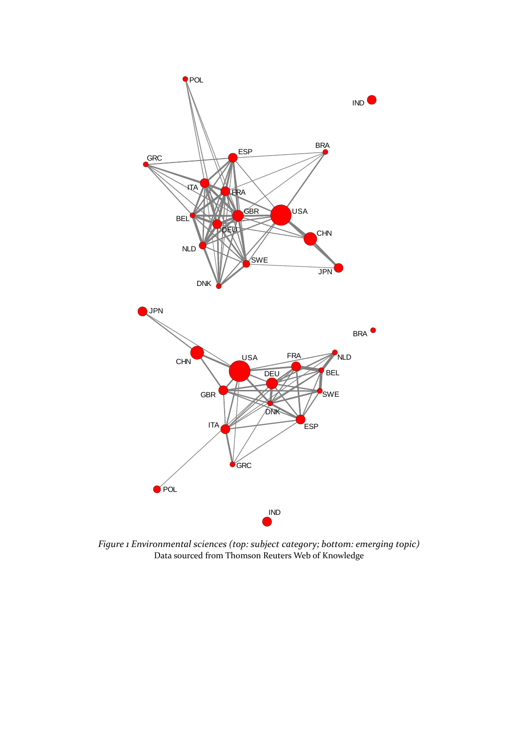

*Figure 1 Environmental sciences (top: subject category; bottom: emerging topic)*  Data sourced from Thomson Reuters Web of Knowledge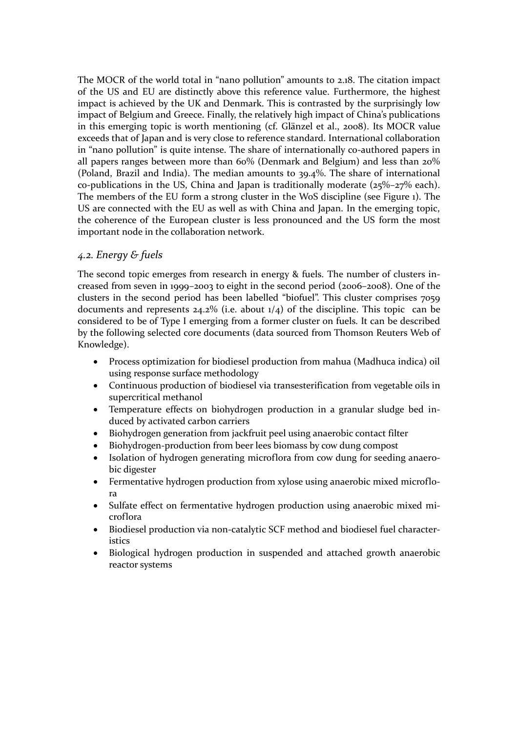The MOCR of the world total in "nano pollution" amounts to 2.18. The citation impact of the US and EU are distinctly above this reference value. Furthermore, the highest impact is achieved by the UK and Denmark. This is contrasted by the surprisingly low impact of Belgium and Greece. Finally, the relatively high impact of China's publications in this emerging topic is worth mentioning (cf. Glänzel et al., 2008). Its MOCR value exceeds that of Japan and is very close to reference standard. International collaboration in "nano pollution" is quite intense. The share of internationally co-authored papers in all papers ranges between more than 60% (Denmark and Belgium) and less than 20% (Poland, Brazil and India). The median amounts to 39.4%. The share of international co-publications in the US, China and Japan is traditionally moderate (25%–27% each). The members of the EU form a strong cluster in the WoS discipline (see Figure 1). The US are connected with the EU as well as with China and Japan. In the emerging topic, the coherence of the European cluster is less pronounced and the US form the most important node in the collaboration network.

#### *4.2. Energy & fuels*

The second topic emerges from research in energy & fuels. The number of clusters increased from seven in 1999–2003 to eight in the second period (2006–2008). One of the clusters in the second period has been labelled "biofuel". This cluster comprises 7059 documents and represents  $24.2\%$  (i.e. about  $1/4$ ) of the discipline. This topic can be considered to be of Type I emerging from a former cluster on fuels. It can be described by the following selected core documents (data sourced from Thomson Reuters Web of Knowledge).

- Process optimization for biodiesel production from mahua (Madhuca indica) oil using response surface methodology
- Continuous production of biodiesel via transesterification from vegetable oils in supercritical methanol
- Temperature effects on biohydrogen production in a granular sludge bed induced by activated carbon carriers
- Biohydrogen generation from jackfruit peel using anaerobic contact filter
- Biohydrogen-production from beer lees biomass by cow dung compost
- Isolation of hydrogen generating microflora from cow dung for seeding anaerobic digester
- Fermentative hydrogen production from xylose using anaerobic mixed microflora
- Sulfate effect on fermentative hydrogen production using anaerobic mixed microflora
- Biodiesel production via non-catalytic SCF method and biodiesel fuel characteristics
- Biological hydrogen production in suspended and attached growth anaerobic reactor systems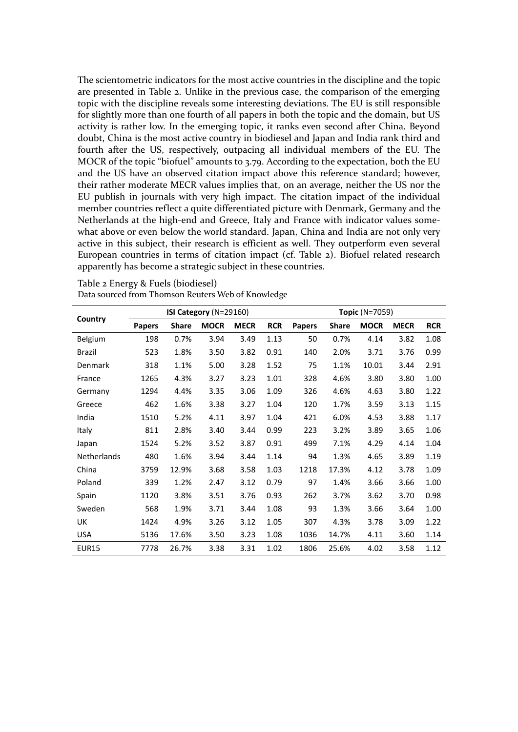The scientometric indicators for the most active countries in the discipline and the topic are presented in Table 2. Unlike in the previous case, the comparison of the emerging topic with the discipline reveals some interesting deviations. The EU is still responsible for slightly more than one fourth of all papers in both the topic and the domain, but US activity is rather low. In the emerging topic, it ranks even second after China. Beyond doubt, China is the most active country in biodiesel and Japan and India rank third and fourth after the US, respectively, outpacing all individual members of the EU. The MOCR of the topic "biofuel" amounts to 3.79. According to the expectation, both the EU and the US have an observed citation impact above this reference standard; however, their rather moderate MECR values implies that, on an average, neither the US nor the EU publish in journals with very high impact. The citation impact of the individual member countries reflect a quite differentiated picture with Denmark, Germany and the Netherlands at the high-end and Greece, Italy and France with indicator values somewhat above or even below the world standard. Japan, China and India are not only very active in this subject, their research is efficient as well. They outperform even several European countries in terms of citation impact (cf. Table 2). Biofuel related research apparently has become a strategic subject in these countries.

| Country            |               |              | ISI Category (N=29160) |             | <b>Topic</b> (N=7059) |               |              |             |             |            |
|--------------------|---------------|--------------|------------------------|-------------|-----------------------|---------------|--------------|-------------|-------------|------------|
|                    | <b>Papers</b> | <b>Share</b> | <b>MOCR</b>            | <b>MECR</b> | <b>RCR</b>            | <b>Papers</b> | <b>Share</b> | <b>MOCR</b> | <b>MECR</b> | <b>RCR</b> |
| Belgium            | 198           | 0.7%         | 3.94                   | 3.49        | 1.13                  | 50            | 0.7%         | 4.14        | 3.82        | 1.08       |
| Brazil             | 523           | 1.8%         | 3.50                   | 3.82        | 0.91                  | 140           | 2.0%         | 3.71        | 3.76        | 0.99       |
| Denmark            | 318           | 1.1%         | 5.00                   | 3.28        | 1.52                  | 75            | 1.1%         | 10.01       | 3.44        | 2.91       |
| France             | 1265          | 4.3%         | 3.27                   | 3.23        | 1.01                  | 328           | 4.6%         | 3.80        | 3.80        | 1.00       |
| Germany            | 1294          | 4.4%         | 3.35                   | 3.06        | 1.09                  | 326           | 4.6%         | 4.63        | 3.80        | 1.22       |
| Greece             | 462           | 1.6%         | 3.38                   | 3.27        | 1.04                  | 120           | 1.7%         | 3.59        | 3.13        | 1.15       |
| India              | 1510          | 5.2%         | 4.11                   | 3.97        | 1.04                  | 421           | 6.0%         | 4.53        | 3.88        | 1.17       |
| Italy              | 811           | 2.8%         | 3.40                   | 3.44        | 0.99                  | 223           | 3.2%         | 3.89        | 3.65        | 1.06       |
| Japan              | 1524          | 5.2%         | 3.52                   | 3.87        | 0.91                  | 499           | 7.1%         | 4.29        | 4.14        | 1.04       |
| <b>Netherlands</b> | 480           | 1.6%         | 3.94                   | 3.44        | 1.14                  | 94            | 1.3%         | 4.65        | 3.89        | 1.19       |
| China              | 3759          | 12.9%        | 3.68                   | 3.58        | 1.03                  | 1218          | 17.3%        | 4.12        | 3.78        | 1.09       |
| Poland             | 339           | 1.2%         | 2.47                   | 3.12        | 0.79                  | 97            | 1.4%         | 3.66        | 3.66        | 1.00       |
| Spain              | 1120          | 3.8%         | 3.51                   | 3.76        | 0.93                  | 262           | 3.7%         | 3.62        | 3.70        | 0.98       |
| Sweden             | 568           | 1.9%         | 3.71                   | 3.44        | 1.08                  | 93            | 1.3%         | 3.66        | 3.64        | 1.00       |
| UK                 | 1424          | 4.9%         | 3.26                   | 3.12        | 1.05                  | 307           | 4.3%         | 3.78        | 3.09        | 1.22       |
| <b>USA</b>         | 5136          | 17.6%        | 3.50                   | 3.23        | 1.08                  | 1036          | 14.7%        | 4.11        | 3.60        | 1.14       |
| <b>EUR15</b>       | 7778          | 26.7%        | 3.38                   | 3.31        | 1.02                  | 1806          | 25.6%        | 4.02        | 3.58        | 1.12       |

| Table 2 Energy & Fuels (biodiesel)                 |
|----------------------------------------------------|
| Data sourced from Thomson Reuters Web of Knowledge |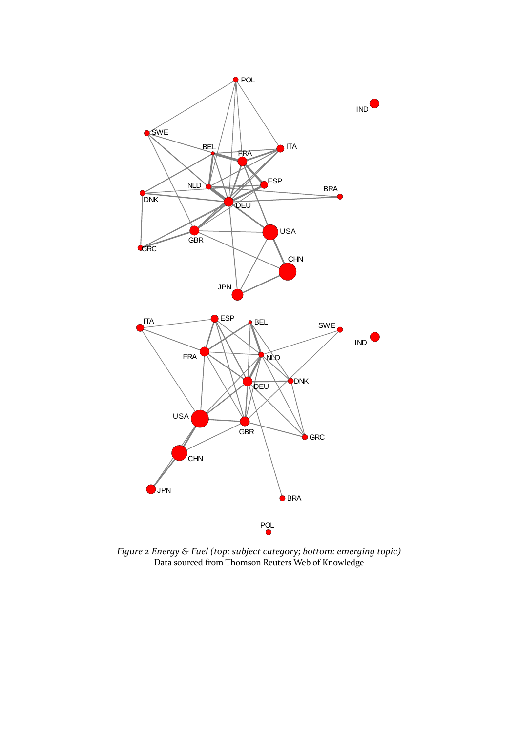

*Figure 2 Energy & Fuel (top: subject category; bottom: emerging topic)*  Data sourced from Thomson Reuters Web of Knowledge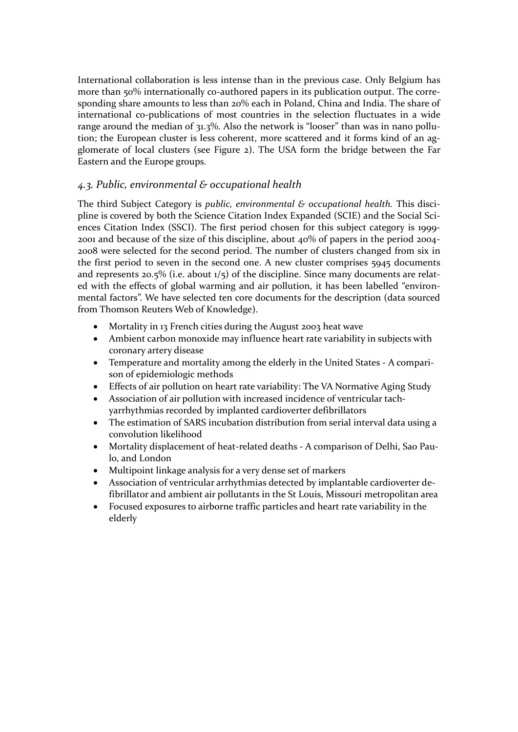International collaboration is less intense than in the previous case. Only Belgium has more than 50% internationally co-authored papers in its publication output. The corresponding share amounts to less than 20% each in Poland, China and India. The share of international co-publications of most countries in the selection fluctuates in a wide range around the median of 31.3%. Also the network is "looser" than was in nano pollution; the European cluster is less coherent, more scattered and it forms kind of an agglomerate of local clusters (see Figure 2). The USA form the bridge between the Far Eastern and the Europe groups.

### *4.3. Public, environmental & occupational health*

The third Subject Category is *public, environmental & occupational health.* This discipline is covered by both the Science Citation Index Expanded (SCIE) and the Social Sciences Citation Index (SSCI). The first period chosen for this subject category is 1999- 2001 and because of the size of this discipline, about 40% of papers in the period 2004- 2008 were selected for the second period. The number of clusters changed from six in the first period to seven in the second one. A new cluster comprises 5945 documents and represents 20.5% (i.e. about  $1/5$ ) of the discipline. Since many documents are related with the effects of global warming and air pollution, it has been labelled "environmental factors". We have selected ten core documents for the description (data sourced from Thomson Reuters Web of Knowledge).

- Mortality in 13 French cities during the August 2003 heat wave
- Ambient carbon monoxide may influence heart rate variability in subjects with coronary artery disease
- Temperature and mortality among the elderly in the United States A comparison of epidemiologic methods
- Effects of air pollution on heart rate variability: The VA Normative Aging Study
- Association of air pollution with increased incidence of ventricular tachyarrhythmias recorded by implanted cardioverter defibrillators
- The estimation of SARS incubation distribution from serial interval data using a convolution likelihood
- Mortality displacement of heat-related deaths A comparison of Delhi, Sao Paulo, and London
- Multipoint linkage analysis for a very dense set of markers
- Association of ventricular arrhythmias detected by implantable cardioverter defibrillator and ambient air pollutants in the St Louis, Missouri metropolitan area
- Focused exposures to airborne traffic particles and heart rate variability in the elderly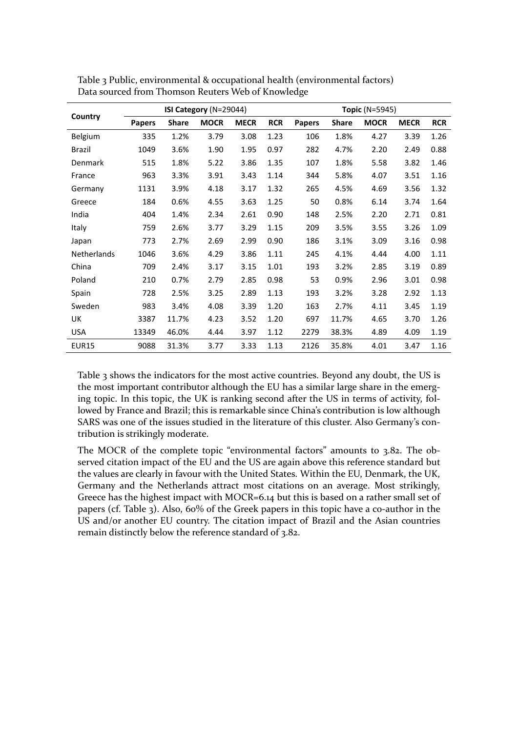| Country      |               |              | ISI Category (N=29044) |             | <b>Topic</b> ( $N = 5945$ ) |               |              |             |             |            |
|--------------|---------------|--------------|------------------------|-------------|-----------------------------|---------------|--------------|-------------|-------------|------------|
|              | <b>Papers</b> | <b>Share</b> | <b>MOCR</b>            | <b>MECR</b> | <b>RCR</b>                  | <b>Papers</b> | <b>Share</b> | <b>MOCR</b> | <b>MECR</b> | <b>RCR</b> |
| Belgium      | 335           | 1.2%         | 3.79                   | 3.08        | 1.23                        | 106           | 1.8%         | 4.27        | 3.39        | 1.26       |
| Brazil       | 1049          | 3.6%         | 1.90                   | 1.95        | 0.97                        | 282           | 4.7%         | 2.20        | 2.49        | 0.88       |
| Denmark      | 515           | 1.8%         | 5.22                   | 3.86        | 1.35                        | 107           | 1.8%         | 5.58        | 3.82        | 1.46       |
| France       | 963           | 3.3%         | 3.91                   | 3.43        | 1.14                        | 344           | 5.8%         | 4.07        | 3.51        | 1.16       |
| Germany      | 1131          | 3.9%         | 4.18                   | 3.17        | 1.32                        | 265           | 4.5%         | 4.69        | 3.56        | 1.32       |
| Greece       | 184           | 0.6%         | 4.55                   | 3.63        | 1.25                        | 50            | 0.8%         | 6.14        | 3.74        | 1.64       |
| India        | 404           | 1.4%         | 2.34                   | 2.61        | 0.90                        | 148           | 2.5%         | 2.20        | 2.71        | 0.81       |
| Italy        | 759           | 2.6%         | 3.77                   | 3.29        | 1.15                        | 209           | 3.5%         | 3.55        | 3.26        | 1.09       |
| Japan        | 773           | 2.7%         | 2.69                   | 2.99        | 0.90                        | 186           | 3.1%         | 3.09        | 3.16        | 0.98       |
| Netherlands  | 1046          | 3.6%         | 4.29                   | 3.86        | 1.11                        | 245           | 4.1%         | 4.44        | 4.00        | 1.11       |
| China        | 709           | 2.4%         | 3.17                   | 3.15        | 1.01                        | 193           | 3.2%         | 2.85        | 3.19        | 0.89       |
| Poland       | 210           | 0.7%         | 2.79                   | 2.85        | 0.98                        | 53            | 0.9%         | 2.96        | 3.01        | 0.98       |
| Spain        | 728           | 2.5%         | 3.25                   | 2.89        | 1.13                        | 193           | 3.2%         | 3.28        | 2.92        | 1.13       |
| Sweden       | 983           | 3.4%         | 4.08                   | 3.39        | 1.20                        | 163           | 2.7%         | 4.11        | 3.45        | 1.19       |
| UK           | 3387          | 11.7%        | 4.23                   | 3.52        | 1.20                        | 697           | 11.7%        | 4.65        | 3.70        | 1.26       |
| <b>USA</b>   | 13349         | 46.0%        | 4.44                   | 3.97        | 1.12                        | 2279          | 38.3%        | 4.89        | 4.09        | 1.19       |
| <b>EUR15</b> | 9088          | 31.3%        | 3.77                   | 3.33        | 1.13                        | 2126          | 35.8%        | 4.01        | 3.47        | 1.16       |

Table 3 Public, environmental & occupational health (environmental factors) Data sourced from Thomson Reuters Web of Knowledge

Table 3 shows the indicators for the most active countries. Beyond any doubt, the US is the most important contributor although the EU has a similar large share in the emerging topic. In this topic, the UK is ranking second after the US in terms of activity, followed by France and Brazil; this is remarkable since China's contribution is low although SARS was one of the issues studied in the literature of this cluster. Also Germany's contribution is strikingly moderate.

The MOCR of the complete topic "environmental factors" amounts to 3.82. The observed citation impact of the EU and the US are again above this reference standard but the values are clearly in favour with the United States. Within the EU, Denmark, the UK, Germany and the Netherlands attract most citations on an average. Most strikingly, Greece has the highest impact with MOCR=6.14 but this is based on a rather small set of papers (cf. Table 3). Also, 60% of the Greek papers in this topic have a co-author in the US and/or another EU country. The citation impact of Brazil and the Asian countries remain distinctly below the reference standard of 3.82.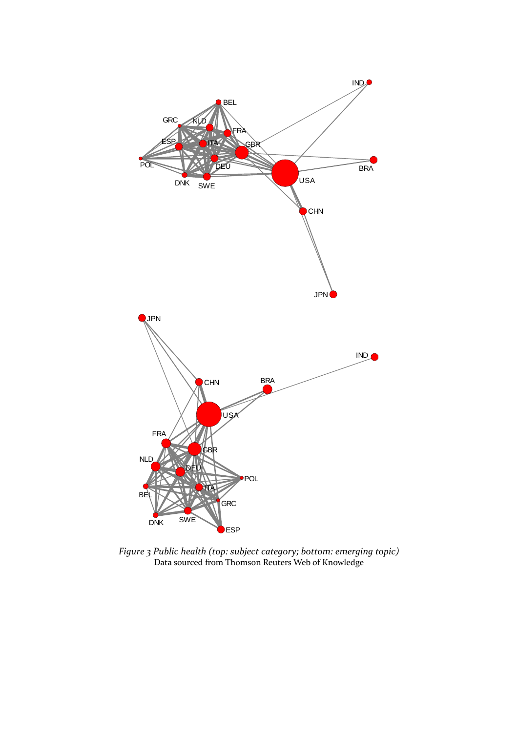

*Figure 3 Public health (top: subject category; bottom: emerging topic)*  Data sourced from Thomson Reuters Web of Knowledge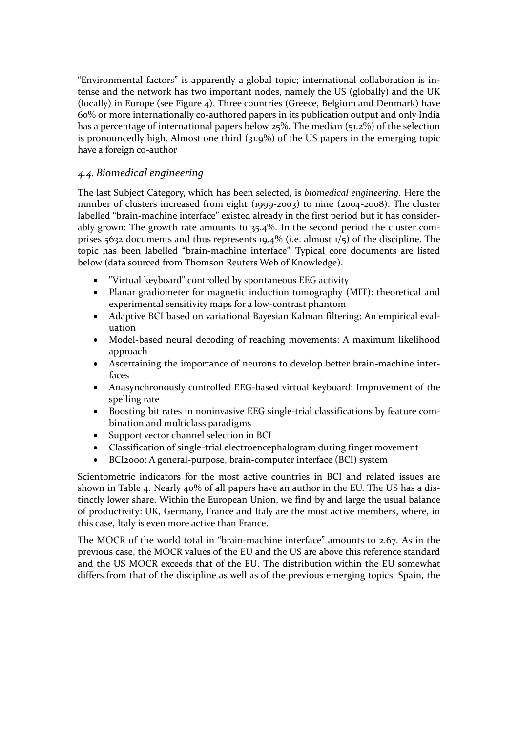"Environmental factors" is apparently a global topic; international collaboration is intense and the network has two important nodes, namely the US (globally) and the UK (locally) in Europe (see Figure 4). Three countries (Greece, Belgium and Denmark) have 60% or more internationally co-authored papers in its publication output and only India has a percentage of international papers below  $25\%$ . The median (51.2%) of the selection is pronouncedly high. Almost one third (31.9%) of the US papers in the emerging topic have a foreign co-author

#### *4.4. Biomedical engineering*

The last Subject Category, which has been selected, is *biomedical engineering.* Here the number of clusters increased from eight (1999-2003) to nine (2004-2008). The cluster labelled "brain-machine interface" existed already in the first period but it has considerably grown: The growth rate amounts to 35.4%. In the second period the cluster comprises  $5632$  documents and thus represents 19.4% (i.e. almost  $1/5$ ) of the discipline. The topic has been labelled "brain-machine interface". Typical core documents are listed below (data sourced from Thomson Reuters Web of Knowledge).

- "Virtual keyboard" controlled by spontaneous EEG activity
- Planar gradiometer for magnetic induction tomography (MIT): theoretical and experimental sensitivity maps for a low-contrast phantom
- Adaptive BCI based on variational Bayesian Kalman filtering: An empirical evaluation
- Model-based neural decoding of reaching movements: A maximum likelihood approach
- Ascertaining the importance of neurons to develop better brain-machine interfaces
- Anasynchronously controlled EEG-based virtual keyboard: Improvement of the spelling rate
- Boosting bit rates in noninvasive EEG single-trial classifications by feature combination and multiclass paradigms
- Support vector channel selection in BCI
- Classification of single-trial electroencephalogram during finger movement
- BCI2000: A general-purpose, brain-computer interface (BCI) system

Scientometric indicators for the most active countries in BCI and related issues are shown in Table 4. Nearly  $40\%$  of all papers have an author in the EU. The US has a distinctly lower share. Within the European Union, we find by and large the usual balance of productivity: UK, Germany, France and Italy are the most active members, where, in this case, Italy is even more active than France.

The MOCR of the world total in "brain-machine interface" amounts to 2.67. As in the previous case, the MOCR values of the EU and the US are above this reference standard and the US MOCR exceeds that of the EU. The distribution within the EU somewhat differs from that of the discipline as well as of the previous emerging topics. Spain, the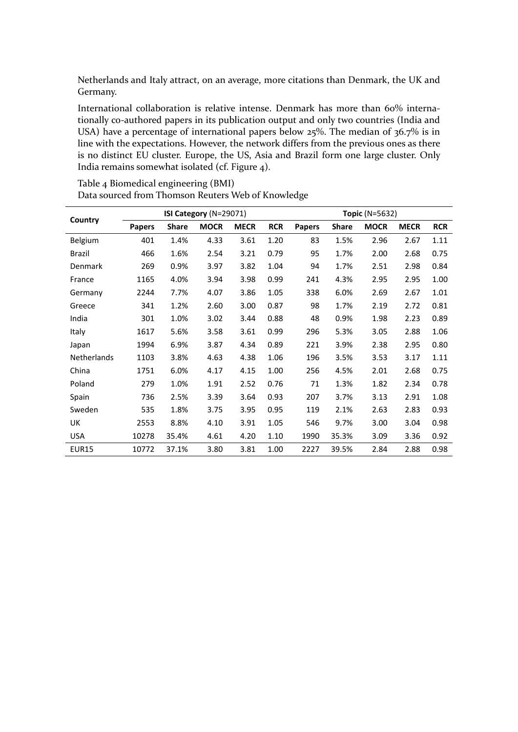Netherlands and Italy attract, on an average, more citations than Denmark, the UK and Germany.

International collaboration is relative intense. Denmark has more than 60% internationally co-authored papers in its publication output and only two countries (India and USA) have a percentage of international papers below 25%. The median of  $36.7\%$  is in line with the expectations. However, the network differs from the previous ones as there is no distinct EU cluster. Europe, the US, Asia and Brazil form one large cluster. Only India remains somewhat isolated (cf. Figure 4).

| Country      |               |              | ISI Category (N=29071) |             | Topic $(N=5632)$ |               |              |             |             |            |
|--------------|---------------|--------------|------------------------|-------------|------------------|---------------|--------------|-------------|-------------|------------|
|              | <b>Papers</b> | <b>Share</b> | <b>MOCR</b>            | <b>MECR</b> | <b>RCR</b>       | <b>Papers</b> | <b>Share</b> | <b>MOCR</b> | <b>MECR</b> | <b>RCR</b> |
| Belgium      | 401           | 1.4%         | 4.33                   | 3.61        | 1.20             | 83            | 1.5%         | 2.96        | 2.67        | 1.11       |
| Brazil       | 466           | 1.6%         | 2.54                   | 3.21        | 0.79             | 95            | 1.7%         | 2.00        | 2.68        | 0.75       |
| Denmark      | 269           | 0.9%         | 3.97                   | 3.82        | 1.04             | 94            | 1.7%         | 2.51        | 2.98        | 0.84       |
| France       | 1165          | 4.0%         | 3.94                   | 3.98        | 0.99             | 241           | 4.3%         | 2.95        | 2.95        | 1.00       |
| Germany      | 2244          | 7.7%         | 4.07                   | 3.86        | 1.05             | 338           | 6.0%         | 2.69        | 2.67        | 1.01       |
| Greece       | 341           | 1.2%         | 2.60                   | 3.00        | 0.87             | 98            | 1.7%         | 2.19        | 2.72        | 0.81       |
| India        | 301           | 1.0%         | 3.02                   | 3.44        | 0.88             | 48            | 0.9%         | 1.98        | 2.23        | 0.89       |
| Italy        | 1617          | 5.6%         | 3.58                   | 3.61        | 0.99             | 296           | 5.3%         | 3.05        | 2.88        | 1.06       |
| Japan        | 1994          | 6.9%         | 3.87                   | 4.34        | 0.89             | 221           | 3.9%         | 2.38        | 2.95        | 0.80       |
| Netherlands  | 1103          | 3.8%         | 4.63                   | 4.38        | 1.06             | 196           | 3.5%         | 3.53        | 3.17        | 1.11       |
| China        | 1751          | 6.0%         | 4.17                   | 4.15        | 1.00             | 256           | 4.5%         | 2.01        | 2.68        | 0.75       |
| Poland       | 279           | 1.0%         | 1.91                   | 2.52        | 0.76             | 71            | 1.3%         | 1.82        | 2.34        | 0.78       |
| Spain        | 736           | 2.5%         | 3.39                   | 3.64        | 0.93             | 207           | 3.7%         | 3.13        | 2.91        | 1.08       |
| Sweden       | 535           | 1.8%         | 3.75                   | 3.95        | 0.95             | 119           | 2.1%         | 2.63        | 2.83        | 0.93       |
| UK           | 2553          | 8.8%         | 4.10                   | 3.91        | 1.05             | 546           | 9.7%         | 3.00        | 3.04        | 0.98       |
| <b>USA</b>   | 10278         | 35.4%        | 4.61                   | 4.20        | 1.10             | 1990          | 35.3%        | 3.09        | 3.36        | 0.92       |
| <b>EUR15</b> | 10772         | 37.1%        | 3.80                   | 3.81        | 1.00             | 2227          | 39.5%        | 2.84        | 2.88        | 0.98       |

Table 4 Biomedical engineering (BMI) Data sourced from Thomson Reuters Web of Knowledge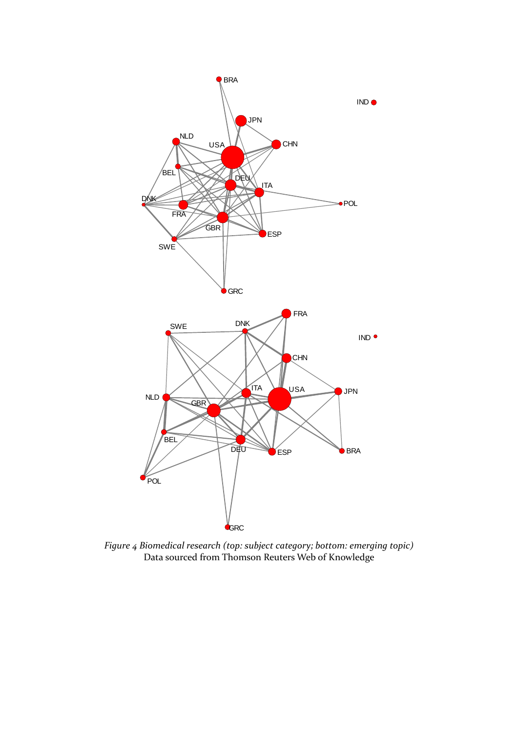

*Figure 4 Biomedical research (top: subject category; bottom: emerging topic)*  Data sourced from Thomson Reuters Web of Knowledge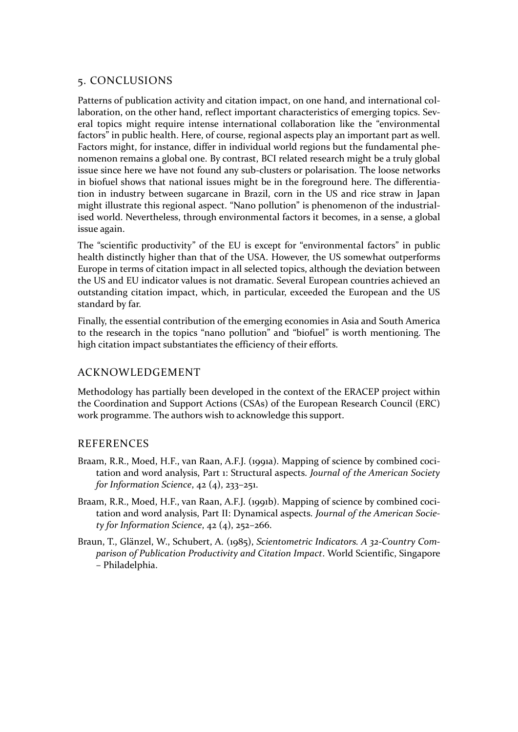#### 5. CONCLUSIONS

Patterns of publication activity and citation impact, on one hand, and international collaboration, on the other hand, reflect important characteristics of emerging topics. Several topics might require intense international collaboration like the "environmental factors" in public health. Here, of course, regional aspects play an important part as well. Factors might, for instance, differ in individual world regions but the fundamental phenomenon remains a global one. By contrast, BCI related research might be a truly global issue since here we have not found any sub-clusters or polarisation. The loose networks in biofuel shows that national issues might be in the foreground here. The differentiation in industry between sugarcane in Brazil, corn in the US and rice straw in Japan might illustrate this regional aspect. "Nano pollution" is phenomenon of the industrialised world. Nevertheless, through environmental factors it becomes, in a sense, a global issue again.

The "scientific productivity" of the EU is except for "environmental factors" in public health distinctly higher than that of the USA. However, the US somewhat outperforms Europe in terms of citation impact in all selected topics, although the deviation between the US and EU indicator values is not dramatic. Several European countries achieved an outstanding citation impact, which, in particular, exceeded the European and the US standard by far.

Finally, the essential contribution of the emerging economies in Asia and South America to the research in the topics "nano pollution" and "biofuel" is worth mentioning. The high citation impact substantiates the efficiency of their efforts.

#### ACKNOWLEDGEMENT

Methodology has partially been developed in the context of the ERACEP project within the Coordination and Support Actions (CSAs) of the European Research Council (ERC) work programme. The authors wish to acknowledge this support.

#### **REFERENCES**

- Braam, R.R., Moed, H.F., van Raan, A.F.J. (1991a). Mapping of science by combined cocitation and word analysis, Part 1: Structural aspects. *Journal of the American Society for Information Science*, 42 (4), 233–251.
- Braam, R.R., Moed, H.F., van Raan, A.F.J. (1991b). Mapping of science by combined cocitation and word analysis, Part II: Dynamical aspects. *Journal of the American Society for Information Science*, 42 (4), 252–266.
- Braun, T., Glänzel, W., Schubert, A. (1985), *Scientometric Indicators. A 32-Country Comparison of Publication Productivity and Citation Impact*. World Scientific, Singapore – Philadelphia.